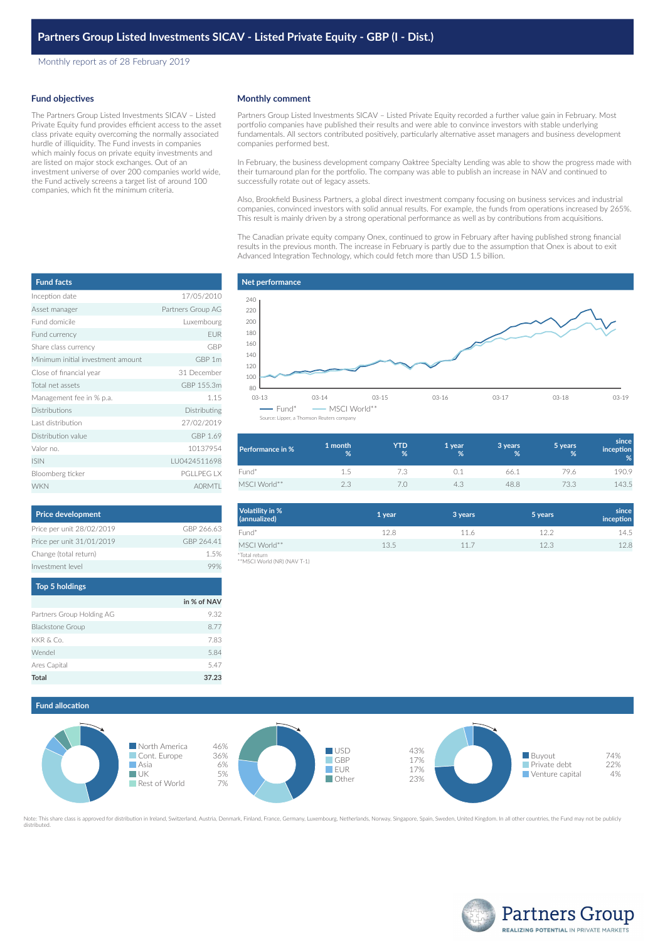Monthly report as of 28 February 2019

#### **Fund objectives**

The Partners Group Listed Investments SICAV – Listed Private Equity fund provides efficient access to the asset class private equity overcoming the normally associated hurdle of illiquidity. The Fund invests in companies which mainly focus on private equity investments and are listed on major stock exchanges. Out of an investment universe of over 200 companies world wide, the Fund actively screens a target list of around 100 companies, which fit the minimum criteria.

#### **Monthly comment**

Partners Group Listed Investments SICAV – Listed Private Equity recorded a further value gain in February. Most portfolio companies have published their results and were able to convince investors with stable underlying fundamentals. All sectors contributed positively, particularly alternative asset managers and business development companies performed best.

In February, the business development company Oaktree Specialty Lending was able to show the progress made with their turnaround plan for the portfolio. The company was able to publish an increase in NAV and continued to successfully rotate out of legacy assets.

Also, Brookfield Business Partners, a global direct investment company focusing on business services and industrial companies, convinced investors with solid annual results. For example, the funds from operations increased by 265%. This result is mainly driven by a strong operational performance as well as by contributions from acquisitions.

The Canadian private equity company Onex, continued to grow in February after having published strong financial results in the previous month. The increase in February is partly due to the assumption that Onex is about to exit Advanced Integration Technology, which could fetch more than USD 1.5 billion.

| <b>Fund facts</b>                 |                   |
|-----------------------------------|-------------------|
| Inception date                    | 17/05/2010        |
| Asset manager                     | Partners Group AG |
| Eund domicile                     | Luxembourg        |
| Fund currency                     | <b>EUR</b>        |
| Share class currency              | GBP               |
| Minimum initial investment amount | GBP 1m            |
| Close of financial year           | 31 December       |
| Total net assets                  | GBP 155.3m        |
| Management fee in % p.a.          | 1.15              |
| Distributions                     | Distributing      |
| Last distribution                 | 27/02/2019        |
| Distribution value                | GBP 1.69          |
| Valor no.                         | 10137954          |
| <b>ISIN</b>                       | LU0424511698      |
| Bloomberg ticker                  | PGI I PFG I X     |
| <b>WKN</b>                        | <b>AORMTI</b>     |

| <b>Price development</b>                                                                |             |
|-----------------------------------------------------------------------------------------|-------------|
| Price per unit 28/02/2019                                                               | GBP 266.63  |
| Price per unit 31/01/2019                                                               | GBP 264.41  |
| Change (total return)                                                                   | 1.5%        |
| Investment level                                                                        | 99%         |
| <b>Top 5 holdings</b>                                                                   |             |
|                                                                                         | in % of NAV |
| $D_{\text{total}}$ and $D_{\text{total}}$ and $D_{\text{total}}$ and $D_{\text{total}}$ | $\cap$      |

| <b>Total</b>              | 37.23 |
|---------------------------|-------|
| Ares Capital              | 5.47  |
| Wendel                    | 5.84  |
| KKR & Co.                 | 7.83  |
| <b>Blackstone Group</b>   | 8.77  |
| Partners Group Holding AG | 9.32  |
|                           |       |

# **Net performance** 03-13 03-14 03-15 03-16 03-17 03-18 03-19 80 100 120 140 160 180 200 220 240  $\blacksquare$  Fund\*  $\blacksquare$  MSCI World\*

Source: Lipper, a Thomson R

| Performance in % | 1 month<br>% | <b>YTD</b><br>% | 1 year<br>% | 3 years<br>% | 5 years<br>% | since<br>inception<br>% |
|------------------|--------------|-----------------|-------------|--------------|--------------|-------------------------|
| Fund*            | 1.5          | 7.3             |             | 66.1         | 79.6         | 190.9                   |
| MSCI World**     | 2.3          |                 | 4.3         | 48.8         | 73.3         | 143.5                   |

| <b>Volatility in %</b><br>(annualized) | 1 year | 3 years | 5 years | since<br>inception |
|----------------------------------------|--------|---------|---------|--------------------|
| Fund*                                  | 12.8   | 11.6    | 12.2    | 14.5               |
| MSCI World**                           | 13.5   | 11.7    | 12.3    | 12.8               |
| *Total return                          |        |         |         |                    |

\*Total return \*\*MSCI World (NR) (NAV T-1)



Note: This share class is approved for distribution in Ireland, Switzerland, Austria, Denmark, Finland, France, Germany, Luxembourg, Netherlands, Norway, Singapore, Spain, Sweden, United Kingdom. In all other countries, th